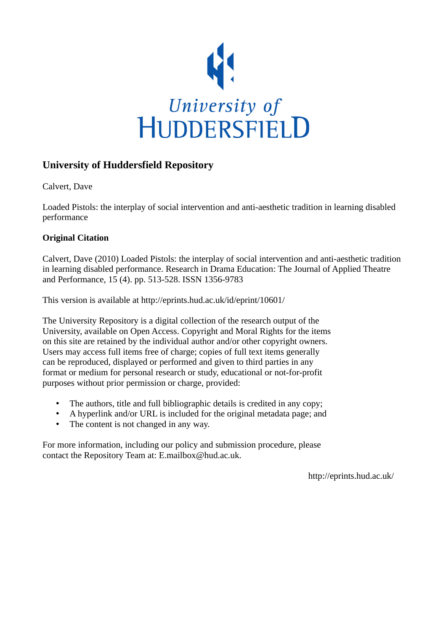

## **University of Huddersfield Repository**

Calvert, Dave

Loaded Pistols: the interplay of social intervention and anti-aesthetic tradition in learning disabled performance

## **Original Citation**

Calvert, Dave (2010) Loaded Pistols: the interplay of social intervention and anti-aesthetic tradition in learning disabled performance. Research in Drama Education: The Journal of Applied Theatre and Performance, 15 (4). pp. 513-528. ISSN 1356-9783

This version is available at http://eprints.hud.ac.uk/id/eprint/10601/

The University Repository is a digital collection of the research output of the University, available on Open Access. Copyright and Moral Rights for the items on this site are retained by the individual author and/or other copyright owners. Users may access full items free of charge; copies of full text items generally can be reproduced, displayed or performed and given to third parties in any format or medium for personal research or study, educational or not-for-profit purposes without prior permission or charge, provided:

- The authors, title and full bibliographic details is credited in any copy;
- A hyperlink and/or URL is included for the original metadata page; and
- The content is not changed in any way.

For more information, including our policy and submission procedure, please contact the Repository Team at: E.mailbox@hud.ac.uk.

http://eprints.hud.ac.uk/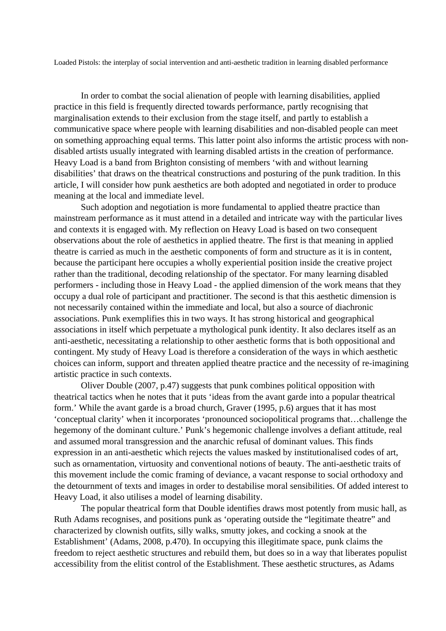Loaded Pistols: the interplay of social intervention and anti-aesthetic tradition in learning disabled performance

In order to combat the social alienation of people with learning disabilities, applied practice in this field is frequently directed towards performance, partly recognising that marginalisation extends to their exclusion from the stage itself, and partly to establish a communicative space where people with learning disabilities and non-disabled people can meet on something approaching equal terms. This latter point also informs the artistic process with nondisabled artists usually integrated with learning disabled artists in the creation of performance. Heavy Load is a band from Brighton consisting of members 'with and without learning disabilities' that draws on the theatrical constructions and posturing of the punk tradition. In this article, I will consider how punk aesthetics are both adopted and negotiated in order to produce meaning at the local and immediate level.

Such adoption and negotiation is more fundamental to applied theatre practice than mainstream performance as it must attend in a detailed and intricate way with the particular lives and contexts it is engaged with. My reflection on Heavy Load is based on two consequent observations about the role of aesthetics in applied theatre. The first is that meaning in applied theatre is carried as much in the aesthetic components of form and structure as it is in content, because the participant here occupies a wholly experiential position inside the creative project rather than the traditional, decoding relationship of the spectator. For many learning disabled performers - including those in Heavy Load - the applied dimension of the work means that they occupy a dual role of participant and practitioner. The second is that this aesthetic dimension is not necessarily contained within the immediate and local, but also a source of diachronic associations. Punk exemplifies this in two ways. It has strong historical and geographical associations in itself which perpetuate a mythological punk identity. It also declares itself as an anti-aesthetic, necessitating a relationship to other aesthetic forms that is both oppositional and contingent. My study of Heavy Load is therefore a consideration of the ways in which aesthetic choices can inform, support and threaten applied theatre practice and the necessity of re-imagining artistic practice in such contexts.

Oliver Double (2007, p.47) suggests that punk combines political opposition with theatrical tactics when he notes that it puts 'ideas from the avant garde into a popular theatrical form.' While the avant garde is a broad church, Graver (1995, p.6) argues that it has most 'conceptual clarity' when it incorporates 'pronounced sociopolitical programs that…challenge the hegemony of the dominant culture.' Punk's hegemonic challenge involves a defiant attitude, real and assumed moral transgression and the anarchic refusal of dominant values. This finds expression in an anti-aesthetic which rejects the values masked by institutionalised codes of art, such as ornamentation, virtuosity and conventional notions of beauty. The anti-aesthetic traits of this movement include the comic framing of deviance, a vacant response to social orthodoxy and the detournment of texts and images in order to destabilise moral sensibilities. Of added interest to Heavy Load, it also utilises a model of learning disability.

The popular theatrical form that Double identifies draws most potently from music hall, as Ruth Adams recognises, and positions punk as 'operating outside the "legitimate theatre" and characterized by clownish outfits, silly walks, smutty jokes, and cocking a snook at the Establishment' (Adams, 2008, p.470). In occupying this illegitimate space, punk claims the freedom to reject aesthetic structures and rebuild them, but does so in a way that liberates populist accessibility from the elitist control of the Establishment. These aesthetic structures, as Adams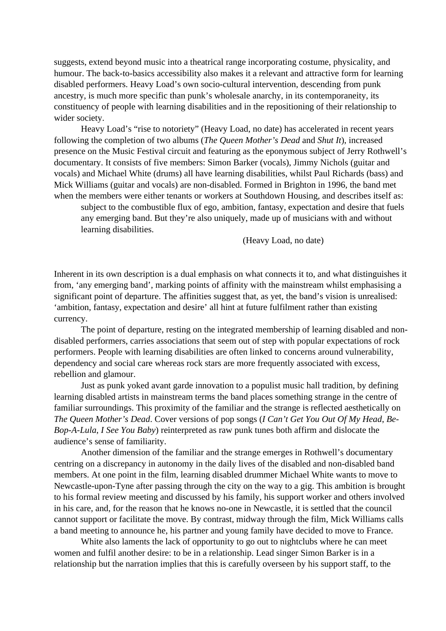suggests, extend beyond music into a theatrical range incorporating costume, physicality, and humour. The back-to-basics accessibility also makes it a relevant and attractive form for learning disabled performers. Heavy Load's own socio-cultural intervention, descending from punk ancestry, is much more specific than punk's wholesale anarchy, in its contemporaneity, its constituency of people with learning disabilities and in the repositioning of their relationship to wider society.

Heavy Load's "rise to notoriety" (Heavy Load, no date) has accelerated in recent years following the completion of two albums (*The Queen Mother's Dead* and *Shut It*), increased presence on the Music Festival circuit and featuring as the eponymous subject of Jerry Rothwell's documentary. It consists of five members: Simon Barker (vocals), Jimmy Nichols (guitar and vocals) and Michael White (drums) all have learning disabilities, whilst Paul Richards (bass) and Mick Williams (guitar and vocals) are non-disabled. Formed in Brighton in 1996, the band met when the members were either tenants or workers at Southdown Housing, and describes itself as:

subject to the combustible flux of ego, ambition, fantasy, expectation and desire that fuels any emerging band. But they're also uniquely, made up of musicians with and without learning disabilities.

(Heavy Load, no date)

Inherent in its own description is a dual emphasis on what connects it to, and what distinguishes it from, 'any emerging band', marking points of affinity with the mainstream whilst emphasising a significant point of departure. The affinities suggest that, as yet, the band's vision is unrealised: 'ambition, fantasy, expectation and desire' all hint at future fulfilment rather than existing currency.

The point of departure, resting on the integrated membership of learning disabled and nondisabled performers, carries associations that seem out of step with popular expectations of rock performers. People with learning disabilities are often linked to concerns around vulnerability, dependency and social care whereas rock stars are more frequently associated with excess, rebellion and glamour.

Just as punk yoked avant garde innovation to a populist music hall tradition, by defining learning disabled artists in mainstream terms the band places something strange in the centre of familiar surroundings. This proximity of the familiar and the strange is reflected aesthetically on *The Queen Mother's Dead*. Cover versions of pop songs (*I Can't Get You Out Of My Head*, *Be-Bop-A-Lula*, *I See You Baby*) reinterpreted as raw punk tunes both affirm and dislocate the audience's sense of familiarity.

Another dimension of the familiar and the strange emerges in Rothwell's documentary centring on a discrepancy in autonomy in the daily lives of the disabled and non-disabled band members. At one point in the film, learning disabled drummer Michael White wants to move to Newcastle-upon-Tyne after passing through the city on the way to a gig. This ambition is brought to his formal review meeting and discussed by his family, his support worker and others involved in his care, and, for the reason that he knows no-one in Newcastle, it is settled that the council cannot support or facilitate the move. By contrast, midway through the film, Mick Williams calls a band meeting to announce he, his partner and young family have decided to move to France.

White also laments the lack of opportunity to go out to nightclubs where he can meet women and fulfil another desire: to be in a relationship. Lead singer Simon Barker is in a relationship but the narration implies that this is carefully overseen by his support staff, to the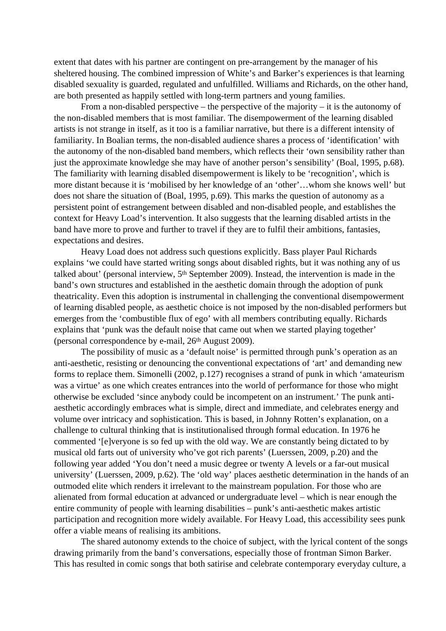extent that dates with his partner are contingent on pre-arrangement by the manager of his sheltered housing. The combined impression of White's and Barker's experiences is that learning disabled sexuality is guarded, regulated and unfulfilled. Williams and Richards, on the other hand, are both presented as happily settled with long-term partners and young families.

From a non-disabled perspective – the perspective of the majority – it is the autonomy of the non-disabled members that is most familiar. The disempowerment of the learning disabled artists is not strange in itself, as it too is a familiar narrative, but there is a different intensity of familiarity. In Boalian terms, the non-disabled audience shares a process of 'identification' with the autonomy of the non-disabled band members, which reflects their 'own sensibility rather than just the approximate knowledge she may have of another person's sensibility' (Boal, 1995, p.68). The familiarity with learning disabled disempowerment is likely to be 'recognition', which is more distant because it is 'mobilised by her knowledge of an 'other'…whom she knows well' but does not share the situation of (Boal, 1995, p.69). This marks the question of autonomy as a persistent point of estrangement between disabled and non-disabled people, and establishes the context for Heavy Load's intervention. It also suggests that the learning disabled artists in the band have more to prove and further to travel if they are to fulfil their ambitions, fantasies, expectations and desires.

Heavy Load does not address such questions explicitly. Bass player Paul Richards explains 'we could have started writing songs about disabled rights, but it was nothing any of us talked about' (personal interview, 5th September 2009). Instead, the intervention is made in the band's own structures and established in the aesthetic domain through the adoption of punk theatricality. Even this adoption is instrumental in challenging the conventional disempowerment of learning disabled people, as aesthetic choice is not imposed by the non-disabled performers but emerges from the 'combustible flux of ego' with all members contributing equally. Richards explains that 'punk was the default noise that came out when we started playing together' (personal correspondence by e-mail, 26th August 2009).

The possibility of music as a 'default noise' is permitted through punk's operation as an anti-aesthetic, resisting or denouncing the conventional expectations of 'art' and demanding new forms to replace them. Simonelli (2002, p.127) recognises a strand of punk in which 'amateurism was a virtue' as one which creates entrances into the world of performance for those who might otherwise be excluded 'since anybody could be incompetent on an instrument.' The punk antiaesthetic accordingly embraces what is simple, direct and immediate, and celebrates energy and volume over intricacy and sophistication. This is based, in Johnny Rotten's explanation, on a challenge to cultural thinking that is institutionalised through formal education. In 1976 he commented '[e]veryone is so fed up with the old way. We are constantly being dictated to by musical old farts out of university who've got rich parents' (Luerssen, 2009, p.20) and the following year added 'You don't need a music degree or twenty A levels or a far-out musical university' (Luerssen, 2009, p.62). The 'old way' places aesthetic determination in the hands of an outmoded elite which renders it irrelevant to the mainstream population. For those who are alienated from formal education at advanced or undergraduate level – which is near enough the entire community of people with learning disabilities – punk's anti-aesthetic makes artistic participation and recognition more widely available. For Heavy Load, this accessibility sees punk offer a viable means of realising its ambitions.

The shared autonomy extends to the choice of subject, with the lyrical content of the songs drawing primarily from the band's conversations, especially those of frontman Simon Barker. This has resulted in comic songs that both satirise and celebrate contemporary everyday culture, a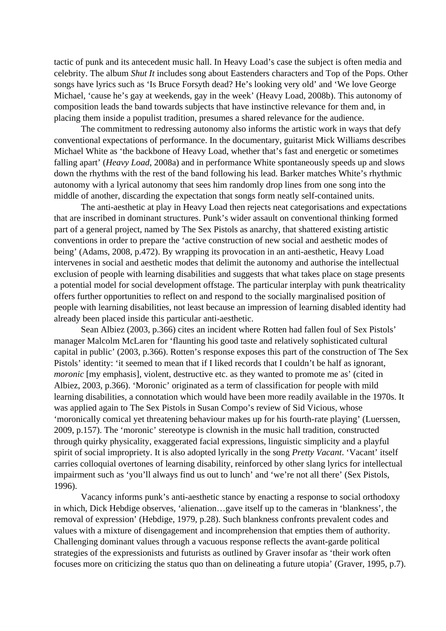tactic of punk and its antecedent music hall. In Heavy Load's case the subject is often media and celebrity. The album *Shut It* includes song about Eastenders characters and Top of the Pops. Other songs have lyrics such as 'Is Bruce Forsyth dead? He's looking very old' and 'We love George Michael, 'cause he's gay at weekends, gay in the week' (Heavy Load, 2008b). This autonomy of composition leads the band towards subjects that have instinctive relevance for them and, in placing them inside a populist tradition, presumes a shared relevance for the audience.

The commitment to redressing autonomy also informs the artistic work in ways that defy conventional expectations of performance. In the documentary, guitarist Mick Williams describes Michael White as 'the backbone of Heavy Load, whether that's fast and energetic or sometimes falling apart' (*Heavy Load*, 2008a) and in performance White spontaneously speeds up and slows down the rhythms with the rest of the band following his lead. Barker matches White's rhythmic autonomy with a lyrical autonomy that sees him randomly drop lines from one song into the middle of another, discarding the expectation that songs form neatly self-contained units.

The anti-aesthetic at play in Heavy Load then rejects neat categorisations and expectations that are inscribed in dominant structures. Punk's wider assault on conventional thinking formed part of a general project, named by The Sex Pistols as anarchy, that shattered existing artistic conventions in order to prepare the 'active construction of new social and aesthetic modes of being' (Adams, 2008, p.472). By wrapping its provocation in an anti-aesthetic, Heavy Load intervenes in social and aesthetic modes that delimit the autonomy and authorise the intellectual exclusion of people with learning disabilities and suggests that what takes place on stage presents a potential model for social development offstage. The particular interplay with punk theatricality offers further opportunities to reflect on and respond to the socially marginalised position of people with learning disabilities, not least because an impression of learning disabled identity had already been placed inside this particular anti-aesthetic.

Sean Albiez (2003, p.366) cites an incident where Rotten had fallen foul of Sex Pistols' manager Malcolm McLaren for 'flaunting his good taste and relatively sophisticated cultural capital in public' (2003, p.366). Rotten's response exposes this part of the construction of The Sex Pistols' identity: 'it seemed to mean that if I liked records that I couldn't be half as ignorant, *moronic* [my emphasis], violent, destructive etc. as they wanted to promote me as' (cited in Albiez, 2003, p.366). 'Moronic' originated as a term of classification for people with mild learning disabilities, a connotation which would have been more readily available in the 1970s. It was applied again to The Sex Pistols in Susan Compo's review of Sid Vicious, whose 'moronically comical yet threatening behaviour makes up for his fourth-rate playing' (Luerssen, 2009, p.157). The 'moronic' stereotype is clownish in the music hall tradition, constructed through quirky physicality, exaggerated facial expressions, linguistic simplicity and a playful spirit of social impropriety. It is also adopted lyrically in the song *Pretty Vacant*. 'Vacant' itself carries colloquial overtones of learning disability, reinforced by other slang lyrics for intellectual impairment such as 'you'll always find us out to lunch' and 'we're not all there' (Sex Pistols, 1996).

Vacancy informs punk's anti-aesthetic stance by enacting a response to social orthodoxy in which, Dick Hebdige observes, 'alienation…gave itself up to the cameras in 'blankness', the removal of expression' (Hebdige, 1979, p.28). Such blankness confronts prevalent codes and values with a mixture of disengagement and incomprehension that empties them of authority. Challenging dominant values through a vacuous response reflects the avant-garde political strategies of the expressionists and futurists as outlined by Graver insofar as 'their work often focuses more on criticizing the status quo than on delineating a future utopia' (Graver, 1995, p.7).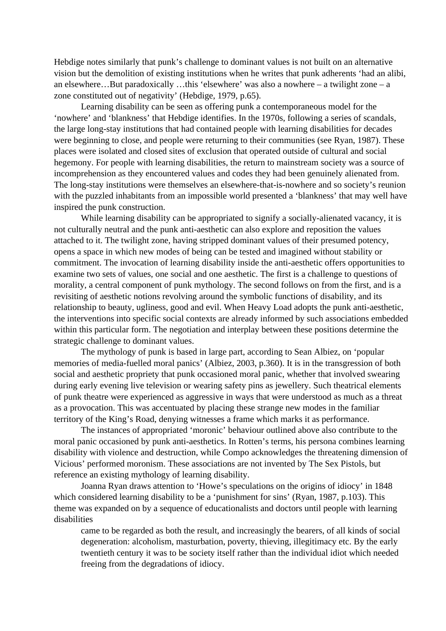Hebdige notes similarly that punk's challenge to dominant values is not built on an alternative vision but the demolition of existing institutions when he writes that punk adherents 'had an alibi, an elsewhere…But paradoxically …this 'elsewhere' was also a nowhere – a twilight zone – a zone constituted out of negativity' (Hebdige, 1979, p.65).

Learning disability can be seen as offering punk a contemporaneous model for the 'nowhere' and 'blankness' that Hebdige identifies. In the 1970s, following a series of scandals, the large long-stay institutions that had contained people with learning disabilities for decades were beginning to close, and people were returning to their communities (see Ryan, 1987). These places were isolated and closed sites of exclusion that operated outside of cultural and social hegemony. For people with learning disabilities, the return to mainstream society was a source of incomprehension as they encountered values and codes they had been genuinely alienated from. The long-stay institutions were themselves an elsewhere-that-is-nowhere and so society's reunion with the puzzled inhabitants from an impossible world presented a 'blankness' that may well have inspired the punk construction.

While learning disability can be appropriated to signify a socially-alienated vacancy, it is not culturally neutral and the punk anti-aesthetic can also explore and reposition the values attached to it. The twilight zone, having stripped dominant values of their presumed potency, opens a space in which new modes of being can be tested and imagined without stability or commitment. The invocation of learning disability inside the anti-aesthetic offers opportunities to examine two sets of values, one social and one aesthetic. The first is a challenge to questions of morality, a central component of punk mythology. The second follows on from the first, and is a revisiting of aesthetic notions revolving around the symbolic functions of disability, and its relationship to beauty, ugliness, good and evil. When Heavy Load adopts the punk anti-aesthetic, the interventions into specific social contexts are already informed by such associations embedded within this particular form. The negotiation and interplay between these positions determine the strategic challenge to dominant values.

The mythology of punk is based in large part, according to Sean Albiez, on 'popular memories of media-fuelled moral panics' (Albiez, 2003, p.360). It is in the transgression of both social and aesthetic propriety that punk occasioned moral panic, whether that involved swearing during early evening live television or wearing safety pins as jewellery. Such theatrical elements of punk theatre were experienced as aggressive in ways that were understood as much as a threat as a provocation. This was accentuated by placing these strange new modes in the familiar territory of the King's Road, denying witnesses a frame which marks it as performance.

The instances of appropriated 'moronic' behaviour outlined above also contribute to the moral panic occasioned by punk anti-aesthetics. In Rotten's terms, his persona combines learning disability with violence and destruction, while Compo acknowledges the threatening dimension of Vicious' performed moronism. These associations are not invented by The Sex Pistols, but reference an existing mythology of learning disability.

Joanna Ryan draws attention to 'Howe's speculations on the origins of idiocy' in 1848 which considered learning disability to be a 'punishment for sins' (Ryan, 1987, p.103). This theme was expanded on by a sequence of educationalists and doctors until people with learning disabilities

came to be regarded as both the result, and increasingly the bearers, of all kinds of social degeneration: alcoholism, masturbation, poverty, thieving, illegitimacy etc. By the early twentieth century it was to be society itself rather than the individual idiot which needed freeing from the degradations of idiocy.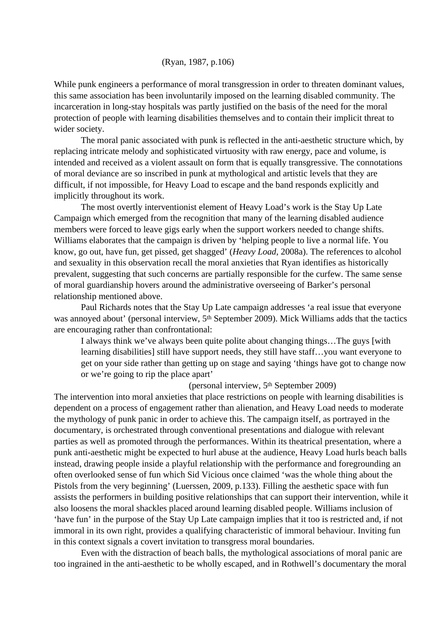## (Ryan, 1987, p.106)

While punk engineers a performance of moral transgression in order to threaten dominant values, this same association has been involuntarily imposed on the learning disabled community. The incarceration in long-stay hospitals was partly justified on the basis of the need for the moral protection of people with learning disabilities themselves and to contain their implicit threat to wider society.

The moral panic associated with punk is reflected in the anti-aesthetic structure which, by replacing intricate melody and sophisticated virtuosity with raw energy, pace and volume, is intended and received as a violent assault on form that is equally transgressive. The connotations of moral deviance are so inscribed in punk at mythological and artistic levels that they are difficult, if not impossible, for Heavy Load to escape and the band responds explicitly and implicitly throughout its work.

The most overtly interventionist element of Heavy Load's work is the Stay Up Late Campaign which emerged from the recognition that many of the learning disabled audience members were forced to leave gigs early when the support workers needed to change shifts. Williams elaborates that the campaign is driven by 'helping people to live a normal life. You know, go out, have fun, get pissed, get shagged' (*Heavy Load*, 2008a). The references to alcohol and sexuality in this observation recall the moral anxieties that Ryan identifies as historically prevalent, suggesting that such concerns are partially responsible for the curfew. The same sense of moral guardianship hovers around the administrative overseeing of Barker's personal relationship mentioned above.

Paul Richards notes that the Stay Up Late campaign addresses 'a real issue that everyone was annoyed about' (personal interview, 5<sup>th</sup> September 2009). Mick Williams adds that the tactics are encouraging rather than confrontational:

I always think we've always been quite polite about changing things…The guys [with learning disabilities] still have support needs, they still have staff…you want everyone to get on your side rather than getting up on stage and saying 'things have got to change now or we're going to rip the place apart'

(personal interview, 5th September 2009)

The intervention into moral anxieties that place restrictions on people with learning disabilities is dependent on a process of engagement rather than alienation, and Heavy Load needs to moderate the mythology of punk panic in order to achieve this. The campaign itself, as portrayed in the documentary, is orchestrated through conventional presentations and dialogue with relevant parties as well as promoted through the performances. Within its theatrical presentation, where a punk anti-aesthetic might be expected to hurl abuse at the audience, Heavy Load hurls beach balls instead, drawing people inside a playful relationship with the performance and foregrounding an often overlooked sense of fun which Sid Vicious once claimed 'was the whole thing about the Pistols from the very beginning' (Luerssen, 2009, p.133). Filling the aesthetic space with fun assists the performers in building positive relationships that can support their intervention, while it also loosens the moral shackles placed around learning disabled people. Williams inclusion of 'have fun' in the purpose of the Stay Up Late campaign implies that it too is restricted and, if not immoral in its own right, provides a qualifying characteristic of immoral behaviour. Inviting fun in this context signals a covert invitation to transgress moral boundaries.

Even with the distraction of beach balls, the mythological associations of moral panic are too ingrained in the anti-aesthetic to be wholly escaped, and in Rothwell's documentary the moral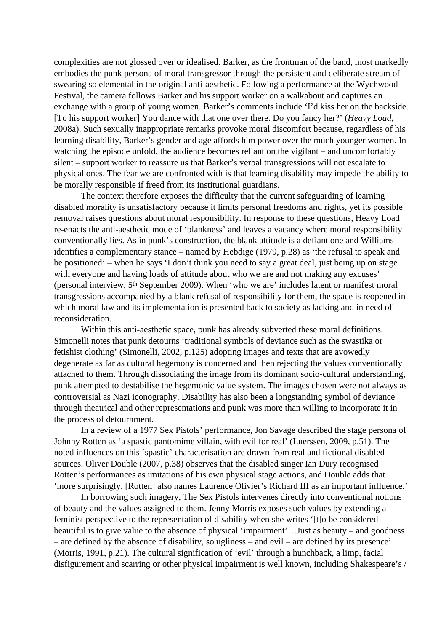complexities are not glossed over or idealised. Barker, as the frontman of the band, most markedly embodies the punk persona of moral transgressor through the persistent and deliberate stream of swearing so elemental in the original anti-aesthetic. Following a performance at the Wychwood Festival, the camera follows Barker and his support worker on a walkabout and captures an exchange with a group of young women. Barker's comments include 'I'd kiss her on the backside. [To his support worker] You dance with that one over there. Do you fancy her?' (*Heavy Load*, 2008a). Such sexually inappropriate remarks provoke moral discomfort because, regardless of his learning disability, Barker's gender and age affords him power over the much younger women. In watching the episode unfold, the audience becomes reliant on the vigilant – and uncomfortably silent – support worker to reassure us that Barker's verbal transgressions will not escalate to physical ones. The fear we are confronted with is that learning disability may impede the ability to be morally responsible if freed from its institutional guardians.

The context therefore exposes the difficulty that the current safeguarding of learning disabled morality is unsatisfactory because it limits personal freedoms and rights, yet its possible removal raises questions about moral responsibility. In response to these questions, Heavy Load re-enacts the anti-aesthetic mode of 'blankness' and leaves a vacancy where moral responsibility conventionally lies. As in punk's construction, the blank attitude is a defiant one and Williams identifies a complementary stance – named by Hebdige (1979, p.28) as 'the refusal to speak and be positioned' – when he says 'I don't think you need to say a great deal, just being up on stage with everyone and having loads of attitude about who we are and not making any excuses' (personal interview, 5th September 2009). When 'who we are' includes latent or manifest moral transgressions accompanied by a blank refusal of responsibility for them, the space is reopened in which moral law and its implementation is presented back to society as lacking and in need of reconsideration.

Within this anti-aesthetic space, punk has already subverted these moral definitions. Simonelli notes that punk detourns 'traditional symbols of deviance such as the swastika or fetishist clothing' (Simonelli, 2002, p.125) adopting images and texts that are avowedly degenerate as far as cultural hegemony is concerned and then rejecting the values conventionally attached to them. Through dissociating the image from its dominant socio-cultural understanding, punk attempted to destabilise the hegemonic value system. The images chosen were not always as controversial as Nazi iconography. Disability has also been a longstanding symbol of deviance through theatrical and other representations and punk was more than willing to incorporate it in the process of detournment.

In a review of a 1977 Sex Pistols' performance, Jon Savage described the stage persona of Johnny Rotten as 'a spastic pantomime villain, with evil for real' (Luerssen, 2009, p.51). The noted influences on this 'spastic' characterisation are drawn from real and fictional disabled sources. Oliver Double (2007, p.38) observes that the disabled singer Ian Dury recognised Rotten's performances as imitations of his own physical stage actions, and Double adds that 'more surprisingly, [Rotten] also names Laurence Olivier's Richard III as an important influence.'

In borrowing such imagery, The Sex Pistols intervenes directly into conventional notions of beauty and the values assigned to them. Jenny Morris exposes such values by extending a feminist perspective to the representation of disability when she writes '[t]o be considered beautiful is to give value to the absence of physical 'impairment'…Just as beauty – and goodness – are defined by the absence of disability, so ugliness – and evil – are defined by its presence' (Morris, 1991, p.21). The cultural signification of 'evil' through a hunchback, a limp, facial disfigurement and scarring or other physical impairment is well known, including Shakespeare's /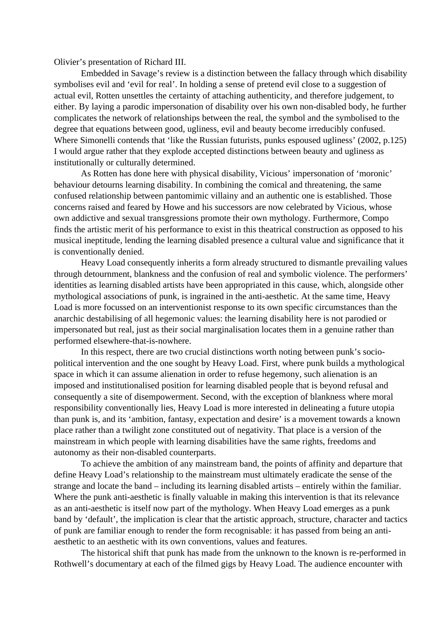Olivier's presentation of Richard III.

Embedded in Savage's review is a distinction between the fallacy through which disability symbolises evil and 'evil for real'. In holding a sense of pretend evil close to a suggestion of actual evil, Rotten unsettles the certainty of attaching authenticity, and therefore judgement, to either. By laying a parodic impersonation of disability over his own non-disabled body, he further complicates the network of relationships between the real, the symbol and the symbolised to the degree that equations between good, ugliness, evil and beauty become irreducibly confused. Where Simonelli contends that 'like the Russian futurists, punks espoused ugliness' (2002, p.125) I would argue rather that they explode accepted distinctions between beauty and ugliness as institutionally or culturally determined.

As Rotten has done here with physical disability, Vicious' impersonation of 'moronic' behaviour detourns learning disability. In combining the comical and threatening, the same confused relationship between pantomimic villainy and an authentic one is established. Those concerns raised and feared by Howe and his successors are now celebrated by Vicious, whose own addictive and sexual transgressions promote their own mythology. Furthermore, Compo finds the artistic merit of his performance to exist in this theatrical construction as opposed to his musical ineptitude, lending the learning disabled presence a cultural value and significance that it is conventionally denied.

Heavy Load consequently inherits a form already structured to dismantle prevailing values through detournment, blankness and the confusion of real and symbolic violence. The performers' identities as learning disabled artists have been appropriated in this cause, which, alongside other mythological associations of punk, is ingrained in the anti-aesthetic. At the same time, Heavy Load is more focussed on an interventionist response to its own specific circumstances than the anarchic destabilising of all hegemonic values: the learning disability here is not parodied or impersonated but real, just as their social marginalisation locates them in a genuine rather than performed elsewhere-that-is-nowhere.

In this respect, there are two crucial distinctions worth noting between punk's sociopolitical intervention and the one sought by Heavy Load. First, where punk builds a mythological space in which it can assume alienation in order to refuse hegemony, such alienation is an imposed and institutionalised position for learning disabled people that is beyond refusal and consequently a site of disempowerment. Second, with the exception of blankness where moral responsibility conventionally lies, Heavy Load is more interested in delineating a future utopia than punk is, and its 'ambition, fantasy, expectation and desire' is a movement towards a known place rather than a twilight zone constituted out of negativity. That place is a version of the mainstream in which people with learning disabilities have the same rights, freedoms and autonomy as their non-disabled counterparts.

To achieve the ambition of any mainstream band, the points of affinity and departure that define Heavy Load's relationship to the mainstream must ultimately eradicate the sense of the strange and locate the band – including its learning disabled artists – entirely within the familiar. Where the punk anti-aesthetic is finally valuable in making this intervention is that its relevance as an anti-aesthetic is itself now part of the mythology. When Heavy Load emerges as a punk band by 'default', the implication is clear that the artistic approach, structure, character and tactics of punk are familiar enough to render the form recognisable: it has passed from being an antiaesthetic to an aesthetic with its own conventions, values and features.

The historical shift that punk has made from the unknown to the known is re-performed in Rothwell's documentary at each of the filmed gigs by Heavy Load. The audience encounter with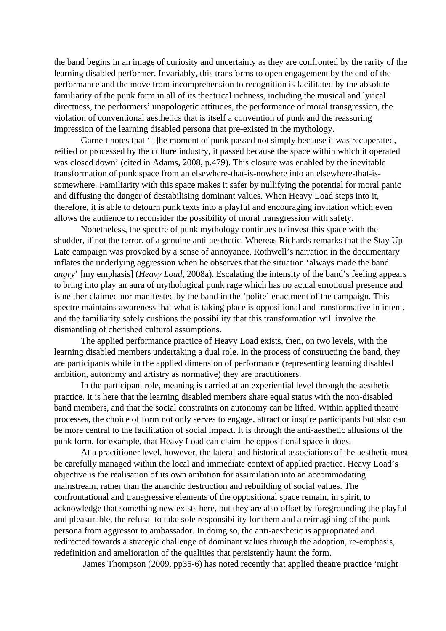the band begins in an image of curiosity and uncertainty as they are confronted by the rarity of the learning disabled performer. Invariably, this transforms to open engagement by the end of the performance and the move from incomprehension to recognition is facilitated by the absolute familiarity of the punk form in all of its theatrical richness, including the musical and lyrical directness, the performers' unapologetic attitudes, the performance of moral transgression, the violation of conventional aesthetics that is itself a convention of punk and the reassuring impression of the learning disabled persona that pre-existed in the mythology.

Garnett notes that '[t]he moment of punk passed not simply because it was recuperated, reified or processed by the culture industry, it passed because the space within which it operated was closed down' (cited in Adams, 2008, p.479). This closure was enabled by the inevitable transformation of punk space from an elsewhere-that-is-nowhere into an elsewhere-that-issomewhere. Familiarity with this space makes it safer by nullifying the potential for moral panic and diffusing the danger of destabilising dominant values. When Heavy Load steps into it, therefore, it is able to detourn punk texts into a playful and encouraging invitation which even allows the audience to reconsider the possibility of moral transgression with safety.

Nonetheless, the spectre of punk mythology continues to invest this space with the shudder, if not the terror, of a genuine anti-aesthetic. Whereas Richards remarks that the Stay Up Late campaign was provoked by a sense of annoyance, Rothwell's narration in the documentary inflates the underlying aggression when he observes that the situation 'always made the band *angry*' [my emphasis] (*Heavy Load*, 2008a). Escalating the intensity of the band's feeling appears to bring into play an aura of mythological punk rage which has no actual emotional presence and is neither claimed nor manifested by the band in the 'polite' enactment of the campaign. This spectre maintains awareness that what is taking place is oppositional and transformative in intent, and the familiarity safely cushions the possibility that this transformation will involve the dismantling of cherished cultural assumptions.

The applied performance practice of Heavy Load exists, then, on two levels, with the learning disabled members undertaking a dual role. In the process of constructing the band, they are participants while in the applied dimension of performance (representing learning disabled ambition, autonomy and artistry as normative) they are practitioners.

In the participant role, meaning is carried at an experiential level through the aesthetic practice. It is here that the learning disabled members share equal status with the non-disabled band members, and that the social constraints on autonomy can be lifted. Within applied theatre processes, the choice of form not only serves to engage, attract or inspire participants but also can be more central to the facilitation of social impact. It is through the anti-aesthetic allusions of the punk form, for example, that Heavy Load can claim the oppositional space it does.

At a practitioner level, however, the lateral and historical associations of the aesthetic must be carefully managed within the local and immediate context of applied practice. Heavy Load's objective is the realisation of its own ambition for assimilation into an accommodating mainstream, rather than the anarchic destruction and rebuilding of social values. The confrontational and transgressive elements of the oppositional space remain, in spirit, to acknowledge that something new exists here, but they are also offset by foregrounding the playful and pleasurable, the refusal to take sole responsibility for them and a reimagining of the punk persona from aggressor to ambassador. In doing so, the anti-aesthetic is appropriated and redirected towards a strategic challenge of dominant values through the adoption, re-emphasis, redefinition and amelioration of the qualities that persistently haunt the form.

James Thompson (2009, pp35-6) has noted recently that applied theatre practice 'might